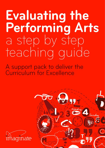# Evaluating the **Performing Arts** a step by step teaching guide

A support pack to deliver the<br>Curriculum for Excellence



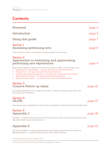# <span id="page-1-0"></span>**Contents**

| Foreword                                                                                                                                                                                                                                                                                                                                                                                                                                                                                                       | page 2  |
|----------------------------------------------------------------------------------------------------------------------------------------------------------------------------------------------------------------------------------------------------------------------------------------------------------------------------------------------------------------------------------------------------------------------------------------------------------------------------------------------------------------|---------|
| Introduction                                                                                                                                                                                                                                                                                                                                                                                                                                                                                                   | page 4  |
| Using this guide                                                                                                                                                                                                                                                                                                                                                                                                                                                                                               | page 7  |
| <b>Section 1</b><br>Accessing performing arts:                                                                                                                                                                                                                                                                                                                                                                                                                                                                 | page 8  |
| How to find out what's on and select performances for your school                                                                                                                                                                                                                                                                                                                                                                                                                                              |         |
| <b>Section 2</b><br>Approaches to evaluating and appreciating<br>performing arts experiences:                                                                                                                                                                                                                                                                                                                                                                                                                  | page 9  |
| Step by step lessons to support you and your pupils to reflect on your theatre trip<br>Preparing for a performance – for early, first and second level learners<br>$\bullet$<br>Playing it out – for early, first and second level learners<br>Drawing the theatrical experience – for early, first and second level learners<br>$\bullet$<br>Talking theatre reviews – for second and third level learners<br>$\bullet$<br>$\bullet$<br>Writing theatre reviews – for second, third and fourth level learners |         |
| <b>Section 3</b><br>Creative Follow up ideas:                                                                                                                                                                                                                                                                                                                                                                                                                                                                  | page 43 |
| For further exploration in the classroom, linked to different subject areas within the<br>Curriculum for Excellence                                                                                                                                                                                                                                                                                                                                                                                            |         |
| <b>Section 4</b><br>GLOW:                                                                                                                                                                                                                                                                                                                                                                                                                                                                                      | page 47 |
| Information about Imaginate's online resource available for Scottish schools through Glow.                                                                                                                                                                                                                                                                                                                                                                                                                     |         |
| <b>Section 5</b><br>Appendix 1:                                                                                                                                                                                                                                                                                                                                                                                                                                                                                | page 48 |
| Glossary – of performing arts terms and roles of theatre staff, including Drama terms from<br>Standard Grade Drama Vocabulary list.                                                                                                                                                                                                                                                                                                                                                                            |         |
| Appendix 2:                                                                                                                                                                                                                                                                                                                                                                                                                                                                                                    | page 50 |
| The Young Audience, exploring and enhancing children's experiences of theatre by                                                                                                                                                                                                                                                                                                                                                                                                                               |         |

Evaluating the Performing Arts © Imaginate, 2010

Matthew Reason – overview and summary of this useful resource.

Educational institutions may copy these materials for educational use only. The content of these materials may not be published or reproduced for any other purposes without permission. Please contact Imaginate for details.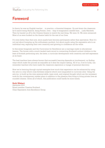# <span id="page-2-0"></span>**Foreword**

In theory he was an English teacher….in practice, a thwarted thespian. Up and down the classroom he'd march being Shylock, being Romeo, even – leap of imagination needed here….Lady Macbeth. Then he hauled us off to the Citizens theatre to watch the real thing. We were 14. We were entranced. Most of us were hooked on the theatre habit for the rest of our lives.

It's even better than that now, since pupils have become participants rather than spectators. Now it's not just about bumping up the enthusiasm quotient, but about pupils using the expressive arts in an individual way, exploring their own creativity and growing in confidence all the while.

In this sense Imaginate and the Curriculum for Excellence are a marriage made in educational heaven. The former with a much lauded track record in connecting Scotland's school children to the best of Scottish performing arts, the latter, a curricular development with creativity and self expression at its heart.

The best teachers have always known that successful learning depends on involvement; on finding ways which make the process as enjoyable as it does the impact lasting. All of us, if we're lucky, can remember teachers who have made the classroom experience a voyage of personal discovery.

Now we're learning through myriad examples how much that experience can be enhanced by using the arts in a way which cross fertilises subjects which once languished in curricular silos. Using the arts too, to build up the inter personal skills, team work, and original thought which are the necessary tools for the contemporary market place in addition to the pleasure they bring to living private lives as rounded citizens. Given all of which, this publication could hardly be more timely.

# **Ruth Wishart**

*September 2010* Board member Creative Scotland. Chair Expressive Arts Excellence Group.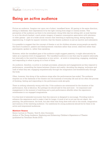# **Being an active audience**

Picture an audience. Imagine row upon row of silent, transfixed faces. All gazing in the same direction, sitting in darkness, their expressions lit by the light coming from stage or cinema screen. This perception of the audience as there to be entertained, doing little else but sitting still, is most familiar to us in the slouch-backed, coach potato imagery of passive consumption association with television or video games – part of a wider social concern that watching is replacing doing; seeing replacing experiencing. It might be argued, however, that the theatre audience is just as inactive and submissive.

It is possible to suggest that the concept of theatre or art *for* children situates young people as exactly this kind of audience: passive and disempowered; watchers rather than actors; observers rather than participants; spoken to, rather than speaking.

However, while the transfixed gaze of the audience might suggest passivity, it might alternatively be taken as a supreme level of engagement. The transfixed audience is one that may be passive externally, but internally in the mind the imagination is very active – at work in interpreting, engaging, analysing and responding to what is going on in front of them.

An audience, therefore, is active in multiple processes, pleasures and engagements as they respond to performance, unravelling the layers between illusion and reality; decoding the staging, technique and craft of what they see; engaging empathetically through the imagination and kinesthetically through the body.

Often, however, this doing of the audience stops after the performances has ended. The audience empties out of the darkness of the theatre into the business of everyday life and all too often the process of thinking, feeling and responding to the performance ends abruptly.

There is nothing inherently wrong with this. If the audience are entertained for the duration of the performance, that is fabulous. But perhaps we should ask for this and more – for enjoyment and engagement in the moment of watching and a post-performance afterlife when the experience reverberates in our engaged imaginations.

It is this kind of extended encounter that this resource is designed to encourage. Providing tools to enhance the experience and to make it last for longer. A work of art is not just the art object, the painting, the performance, the book, but also what that thing does with and in the minds, imagination and memory of the watching audience. Our ambitions for young audiences should be for them to be active and empowered audiences.

# **Matthew Reason**

Senior Lecture in Theatre, York St John University Author of *The Young Audience: Exploring and Enhancing Children's Experience of Theatre*  (published by Trentham Books 2010)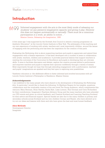# <span id="page-4-0"></span>**Introduction**

# *'Informed engagement with the arts is the most likely mode of releasing our*   $899$ *students' (or any person's) imaginative capacity and giving it play. However this does not happen automatically or naturally. There must be a conscious participation in a work, an ability to notice…'* Maxine Greene, *Releasing the Imagination,* 1995

A few years ago I was supported by the Scottish Arts Council to attend a training programme on Aesthetic Education\* at the Lincoln Centre Institute in New York. The philosophy of this teaching and my own experience of working with artists, teachers and, most importantly children, around the issues of engaging with the performing arts has been the inspiration for the creation of this pack.

*Evaluating the Performing Arts* is about supporting teachers and pupils to appreciate and extend their engagement with a theatre experience. It has been developed over a number of years in collaboration with artists, teachers, children and academics. It provides practical lessons that support teachers in meeting the outcomes of the Curriculum for Excellence and pupils in developing their art criticism skills. It aims to facilitate discussion and debate, explore the creative process behind a performance and empower teachers and pupils to express their opinions confidently through a variety of means. Most importantly though we hope that through extending engagement with a performance, teachers' and pupils' imaginations are sparked and they feel open to exploring new possibilities.

\*Aesthetic education is *'the deliberate efforts to foster informed and involved encounters with art'*  Lincoln Centre Institute's Philosopher in Residence, Maxine Greene.

# **Acknowledgements**

I am indebted to the many people who have shared in the development of *Evaluating the Performing Arts*. In particular I would like to thank the following: Dr Matthew Reason for his insights, questions, collaboration and the invaluable creation of his own book The Young Audience, which compliments this resource; Mary Brennan, Brian Hartley, Sacha Kyle, Lissa Lorenzo, Paul Gorman and Cerin Richardson for their contributions; Imaginate's Teachers Advisory Group and the many teachers who have attended our CPD events and given us critical feedback; and Creative Scotland and Learning Teaching Scotland for their advice and financial support. Special thanks are also due to the many children in primary and secondary schools across Scotland and my own children Cormac and Niamh, who have allowed us to try out our ideas and lessons with them and who have given the best and most honest feedback.

# **Alice McGrath**

Development Director Imaginate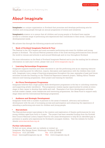# **About Imaginate**

**Imaginate** is a unique organisation in Scotland that promotes and develops performing arts for children and young people through an annual programme of events and initiatives.

**Imaginate's** mission is to ensure that all children and young people in Scotland have regular access to a diverse range of performing arts experiences that contributes to their social, cultural and developmental needs.

We achieve this through the following projects and activities:

#### **Bank of Scotland Imaginate Festival & Tour**

The Festival is the UK's largest and most successful performing arts event for children and young people in Scotland. The annual Festival presents some of the most exciting performances from around the world in venues and schools in and around Edinburgh and on tour throughout Scotland.

For more information on the Bank of Scotland Imaginate Festival and to join the mailing list for advance information on next year's event, please visit us at<www.imaginate.org.uk>

# **Learning Partnerships Programme**

Imaginate supports teachers and other educators to use the performing arts as an inspiring resource and as a starting point for reflection, inquiry, discussion and exploration with the children they work with. Imaginate runs a range of learning programmes throughout the year, examples of past and future activities include the Drawing on the Theatrical Experience research project, Talking About Theatre resource and training programme, Glow project and training for teachers.

# **Art Form Development Programme**

Imaginate believes that a high quality skills development programme is the key to unlocking creativity and supporting artistic excellence. This programme creates regular opportunities for artists at every stage in their career to develop their skills and craft. Examples of art form development activities include master classes, artist residencies and mentoring programmes, the Ideas Fund to support early stage ideas and the International Exchange programme.

#### **Audience and Strategic Development**

Imaginate works with a number of partners in the areas of research, advocacy and audience development with the aim of increasing access and participation and enhancing the experience of attending a performing arts event for children and young people.

#### **• Starcatchers**

The Starcatchers project specialises in the creation and exploration of theatre performances for very young children aged from birth to 4 years. The project has been awarded funding from the Scottish Arts Council National Lottery Inspire Fund for two years development to help fill an identified gap in provision in quality arts experiences for Scotland's youngest children. Visit the website for further details <www.starcatchers.org.uk>

#### **Further information**

To find out more, please visit our website or contact us: Imaginate, 45a George Street, Edinburgh, Scotland, EH2 2HT Telephone 0131 225 8050 Fax 0131 225 6440 Email learning@imaginate.org.uk Web <www.imaginate.org.uk>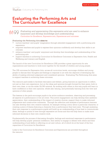# **Evaluating the Performing Arts and The Curriculum for Excellence**

# $R699$

*Evaluating and appreciating (the expressive arts) are used to enhance enjoyment and develop knowledge and understanding. Curriculum for Excellence, Expressive arts, Experiences and outcomes*

# . *Evaluating the Performing Arts* **aims to:**

- nurture teachers' and pupils' imagination through extended engagement with a performing arts experience
- empower teachers and pupils to express their opinions confidently and develop their skills in art criticism
- • enhance teachers' and pupils' enjoyment and develop their knowledge and understanding of the performing arts
- • support teachers in achieving Curriculum for Excellence Outcomes in Expressive Arts, Health and Wellbeing and Literacy and English

The launch of the new Curriculum for Excellence (CfE) provides a great opportunity for arts organisations and teachers to work more together for the benefit of children and young people.

The CfE outcomes for Expressive Arts, across all curriculum levels, encourage children and young people to discuss their thoughts and feelings in response to art with the objective of developing the ability of making informed judgement and considered opinions. Evaluating The Performing Arts aims to support teachers in achieving these outcomes.

The resource pack seeks to facilitate discussion and debate, giving learners an opportunity to reflect, not just on their own experience, but on the ideas and opinions brought forward by their peers, both in their own class, or via the wider GLOW network. By working with others in this way pupils will learn to have confidence in their own opinions, whilst also valuing, and potentially learning from the view and opinions of other people.

The lessons in the pack encourage pupils to be active audience members, observing and processing all aspects of a performance or live art event. This active engagement can help develop their aesthetic appreciation, their understanding of the impact of creative choices, support them to make informed judgements and constructive comments. Through the reflection and analysis of performance learners can also develop their own creative material, for example writing a story about a particular character, or creating a piece of drama featuring a character from a performance they have seen. Through analysing their own response to a performance pupils will build up an understanding of how best to communicate ideas, feelings or points of view through expressive art forms and this will help them to make more informed decisions in their own creative work.

Fundamentally the process of discussing thoughts, feelings and emotional responses to performance will help develop pupils' personal confidence, their ability to engage in debate with others and their understanding of and skills in reflecting on art and culture, all of which lie at the heart of the four capacities of Curriculum for Excellence.

Links to the Curriculum for Excellence Outcomes and Experiences are provided throughout the resource.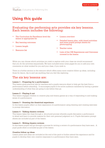# <span id="page-7-0"></span>**Using this guide**

# Evaluating the performing arts provides six key lessons. Each lesson includes the following:

- The Curriculum for Excellence level the lesson is appropriate for
- **Key learning outcomes**
- **Lesson length**
- Resource list
- Lesson overview
- Detailed lesson plan, with timed activities and some pupils prompt sheets for photocopying
- Teacher notes
- Lists of the CfE Experiences and Outcomes covered in the lesson

While you can choose which activities you wish to explore with your class we would recommend that you do the activities sequentially. We have included some notes pages for you to add your own comments on what worked for you and your class, if you wish to.

There is a further section in the resource which offers many more creative follow up ideas, including those for dance, dip in and use anything that you feel like exploring.

# The six key lessons are:

# **Lesson 1 – Preparing for a performance**

This lesson gives practical tips for teachers and a pupils resource sheet to help get the best from a performance before attending. It encourages pupils to be active audience members by having a greater understanding of what they are going to see before they go.

# **Lesson 2 – Playing it out**

This lesson engages children in creative play and drama games as a way of responding to and making sense of a performance.

# **Lesson 3 – Drawing the theatrical experience**

In this lesson pupils reflect on their experience of a performance using drawing and creating exercises to prompt discussion

# **Lesson 4 – Talking theatre reviews**

This lesson takes the class through a structured process whereby pupils discussion a performance in detail and learn to provide reasons for their own personal judgment on it. Pupils discussion prompt sheets are included as part of the lesson.

# **Lesson 5 – Writing theatre reviews**

In this lesson pupils will go through a process for writing a review of a performance they have seen. A pupil guide sheet is included as part of the lesson.

# **Creative follow up ideas**

Lesson plans and ideas are included at the end of the pack to further extend the experience and for pupils to develop their own creative responses to a performance they have seen.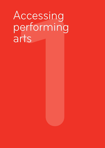# ccessing<br>erforming<br>rts<br>**1** Accessing performing arts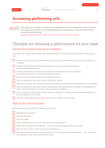<span id="page-9-0"></span>

# **Accessing performing arts**

*Learning in, through and about the expressive arts is enhanced and enriched*   $\beta$ BS *through partnerships with professional arts companies, creative adults and cultural organisations. Curriculum for Excellence, Expressive Arts Experiences and Outcomes*

# Checklist for choosing a performance for your class

# About the performing arts company:

If you have not worked with or seen the Company before, try to find out as much about them as you can.

- Ask your local authority arts education service for recommendations and information about the company
	- Contact Creative Scotland Education team for up to date lists of arts officers. <www.creativescotland.com>
- Look up creativity on the Learning and Teaching Scotland and Glow websites <www.ltscotland.org.uk>/ <www.creativityportal.org.uk>
- Look at the Imaginate website<www.imaginate.org.uk>
- Take up references from other schools they have visited.
- Ask why and when the company was formed to give you an idea of their experience and objectives
- Ask for materials in advance (many companies produce good teacher's packs to accompany the show. These may well be on line on the company's website )
- Ask for copies of videos of their work. Be aware though that video gives a poor representation of the real effects of a live show
	- Ask about their experience in performing to and working with children

# About the performance:

Discuss the show fully with the Company, ask about:

| Appropriate age range                                                                                                                           |
|-------------------------------------------------------------------------------------------------------------------------------------------------|
| Themes involved                                                                                                                                 |
| Costs involved                                                                                                                                  |
| If the performance is in school, the space and time required                                                                                    |
| Why they are doing this production $-$ to get an understanding of their objectives                                                              |
| How the show links to the Curriculum for Excellence                                                                                             |
| Risk assessments that have been carried out for the theatre/performance space – you could save<br>yourself some time if they already have these |
|                                                                                                                                                 |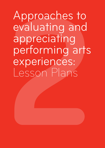Approaches to<br>evaluating and<br>appreciating<br>performing arts<br>experiences:<br>Lesson Plans Approaches to evaluating and appreciating performing arts experiences: Lesson Plans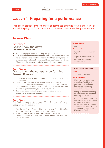<span id="page-11-0"></span>

# **Lesson 1: Preparing for a performance**

This lesson provides important pre-performance activities for you and your class and will help lay the foundations for a positive experience of live performance

# **Lesson Plan**

# Activity 1 Get to know the story **Discussion – 15 minutes**

- Talk to the pupils about what they are going to see.
- It is important that they know the name of the performance and have a general idea what it is about. Read them the synopsis or storyline, this will usually be available in your theatre brochure. Also check the company website for an education pack.

# Activity 2 Get to know the company performing **Research – 20 minutes**

- Share what you have learned about the company/show you are going to see.
- Having used the internet for research and any information available in the company education pack (if your pupils are able to use search tools on the internet get them to do this research themselves) share what you have all found out.
- This knowledge will help pupils begin to develop their expectations of the performance.

# Activity 3 Defining expectations; Think, pair, share **Group work – 25 minutes**

- Use the pupil worksheet in this section to help them think about what they know about the show and the company.
- What do they expect to see? They should discuss their thoughts in pairs and then share their expectations with the rest of the class.

#### **Lesson length**

1 hour

#### **Resource list**

- • Space to sit in a discussion circle
- • Copies of pupil worksheet
- Research on company and synopsis of storyline

# **Curriculum for Excellence**

#### **Level**

Suitable for all learners

#### **Key Outcomes**

- • When listening and talking with others for different purposes, I can exchange information, experiences, explanations, ideas and opinions, and clarify points by asking questions or by asking others to say more. [Literacy; listening and talking]
- Learning in, through and about the expressive arts is enhanced and enriched through partnerships with professional arts companies, creative adults and cultural organisations. [Expressive Arts]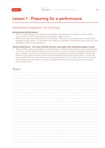# **Lesson 1 : Preparing for a performance**

# Additional preparation for teachers

# **International performances**

- • While all performances are translated into English, international companies may have strong accents and it could be worthwhile preparing the children for this.
- Discuss the nationality of the performing company. What do you know about the country? What language do they speak? Do they have any traditions, folk tales or special delicacies that you could investigate before the performance?

# **Theatre Experience – for early and first learners and pupils with additional support needs**

Taking children and young people to a performance in a theatre allows them to see a performance at its best, with full theatre lighting and sound. This can sometimes be a frightening experience for some children. It might be worthwhile trying some activities to prepare the children for the dark theatre, bright lights and loud noises they may experience during the performance. An exercise where pupils have their eyes covered and are given objects to touch, smell, listen to etc may help. Also playing music at different volumes and experimenting with making both vocal and other sounds might help.

# Notes: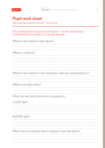

# **Pupil work sheet**

Defining Expectations (Lesson 1, Activity 3)

# Pre-performance pupil work sheet – to be completed individually/in pairs/or in small groups

*What is the name of the show?*

*What is it about?*

*What is the name of the company who are presenting it?*

*Where are they from?*

*What do we think the show is going to:*

*LOOK like?*

*SOUND like?*

*What are you feeling about going to see the show?*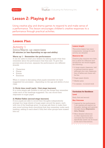

# **Lesson 2: Playing it out**

Using creative play and drama games to respond to and make sense of a performance. This lesson encourages children's creative responses to a performance through practical activities.

# **Lesson Plan**

# Activity 1 Intro/Warm up exercises **20 minutes (or less depending on age and ability)**

# **Warm up 1 – Remember the performance**

It can be useful to start your session by asking pupils what they remember about the performance that they saw. To give this process some structure, separate the performance into different strands:

- **Characters**
- • Places
- **Events**
- **Emotions**

When it comes to discussing what pupils remember we have suggested two processes – depending on the age and ability of your class.

# **1) Circle time recall (early / first stage learners)**

In a circle simply ask children to tell you the things they remember under each of the headings suggested. You can record their responses on sugar paper.

# **2) Walkie-Talkie (second stage learners)**

If your pupils are able to record their thoughts independently arrange four large sheets of sugar paper around the space, each with one of the headings given. In groups ask them to make their way round writing down everything that they remember under each heading, adding to each sheet if they feel other groups have missed bits out.

#### **Lesson length**

This active lesson has many components, timings for each activity are detailed.

# **Resource list**

Creative play requires very little, but to allow for reflection and recollection we would suggest the following:

- • A large empty classroom, hall or general practice spacealthough your own classroom free of tables and chairs will be fine
- • Sugar paper sheets
- • Marker pens
- A camera to record work

# **Curriculum for Excellence Level**

Early, first and second

# **Key Outcome**

- Inspired by live performance I can express and explore my thoughts, feelings and opinions through drama [Expressive Arts, Drama]
- • More detailed references to other experiences and outcomes that this lesson specifically meets can be found at the end of this section.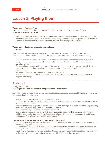# **Lesson 2: Playing it out**

# **Warm up 2 – Pass the Prop**

(this is a useful activity if the performance that you have seen had inventive use of props) **Creative mime – 10 minutes**

- • Sit the class in a circle and pass an everyday object round. Each person must show a short mime where they make the object into something completely different. The class guess what each one is.
- Encourage the children to be more and more creative and wacky with their ideas!

# **Warm up 3 – Exploring characters and places 10 minutes**

This short game gives pupils a chance to bring elements of the story to life using the headings of Characters and Places. This is a twist on the popular game Port-Starboard or Captain's Coming

- For each character agree on a movement or gesture which represents that character (e.g. if we imagine there was a character called Mrs Muffin the baker's wife we might agree a gesture of kneading bread)
- For each place agree on a different part of the room and decide as a group what you will do when you get there (e.g. if there was haunted forest we might all spread out and make the shapes of spooky trees)
- Recall up to 5 characters and places from the performance.
- As teacher you call out different character names and places from the story and get pupils to respond accordingly.

# Activity 2 Playing it out **Frozen pictures and scenes from the production - 40 minutes**

Now that you have warmed up, recalled elements of the production and brought certain aspects to life it is time to begin creative play.

- Split your class into small groups, perhaps fours or fives.
- Tell the class that they have to think about the performance and agree, as a group, on their favourite or most memorable moment.
- Remind them that it might be something that they saw on stage, or it might be something that they didn't see, but some characters that were talked about.
- In their group they have simply to act that scene out.
- One at a time groups should show each other frozen pictures from their scene or with younger children the acted out scene. Allow classmates to look at the frozen picture or scene and discuss which part of the play they think has been recreated.

# **Teacher note: Sharing and reflecting on each other's work**

- Don't let pupils play out a whole scene for their classmates, as there is a tendency for scenes to run on without any natural conclusion.
- For older learners ask them to think about the scene they have been recreating and select one, or two significant moments from the scene and create a frozen picture of that moment.
- The frozen picture has to capture what they think is the most important part of their scene. The rest of the class will need to recognise what scene or bit of the story they are acting out.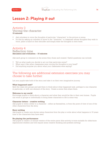# **Lesson 2: Playing it out**

# Activity 3 Voicing the character **15 minutes**

- Ask onlookers to voice the thoughts of particular "characters" in the picture or scene.
- Do this by asking an onlooker to move to the "character" or classmate whose thoughts they wish to voice, place a hand on their shoulder and simply state the thoughts in their head.

# Activity 4 Reflection time **discussion and evaluation – 10 minutes**

Ask each group to comment on the scene they chose and created. Useful questions can include:

- • Tell us what made you decide to act out that particular scene?
- What was it like when classmates were voicing the thoughts in your head?
- Did anything surprise you about what your classmates were saying?

# The following are additional extension exercises you may choose to take further:

Let your pupils take hold of the story and take it on their own imaginative journey.

# **What happened next?**

Split the class into groups and ask them to think about what happened next, perhaps to one character in particular, or with one element of the story. Create a scene then share them.

# **Welcome to my world**

Encourage pupils to think about a character and what they would be like in their own homes. Pupils can work in groups or individually to bring these characters to life in some way.

# **Character letters – creative writing**

Ask pupils to write a letter to a character – either as themselves, or from the point of view of one of the other characters from the story.

# **Story writing**

Ask pupils to create new stories using characters from the play or write about what happens in 10 years time to the characters they have seen.

# **Re-playing the performance**

Ask pupils to create a 2-minute version of the entire piece (this activity is more suitable for older/more experienced children and will require some creative thinking and problem solving)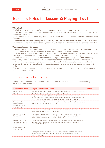# Teachers Notes for **Lesson 2: Playing it out**

# **Why play?**

1) All children play, it is a natural and age appropriate way of processing new experiences

2) Play is empowering for children, it allows them to take ownership of the world which is presented to them in performance

3) Playing is a safe and familiar way for children to explore emotions, sensations ideas or feelings about a performance

4) By assuming roles and reliving situations through creative play children can come to a deeper more developed understanding of the themes, messages, characters and experiences in a theatre production

# **The above lesson will have:**

1) Engaged children, post-performance, through a familiar activity which they enjoy, allowing them to open up and discuss their experiences without feeling under pressure or "tested".

2) Encouraged and empowered children to think beyond the presented world of the performance, giving free reign to their own imaginations to discover or create new elements of the story.

3) Given children space and creative freedom to interpret their experience, giving them ownership of their feelings and allowing them to react creatively to the imaginary world of the performance.

4) Given teachers an opportunity to discover new things about their pupils learning or thinking by exploring the extent to which they have been absorbed by or entered into the imaginary world of the performance.

5) Given pupils and teachers a chance to respond to each other's ideas and learn from what each other has taken from the performance.

# Curriculum for Excellence

Through this lesson and the activities within it children will be able to have met the following experiences and outcomes:

| Curriculum Area                                                                            | <b>Experiences &amp; Outcomes</b>                                                                                                                                                                                             | <b>Notes</b> |
|--------------------------------------------------------------------------------------------|-------------------------------------------------------------------------------------------------------------------------------------------------------------------------------------------------------------------------------|--------------|
| <b>Expressive Arts</b><br>Drama                                                            | Inspired by live performance I can express and explore my thoughts, feelings<br>and opinions through drama. EXA 0-13a, 1-13a, 2-13a                                                                                           |              |
|                                                                                            | I enjoy using elements of drama such as movement, expression and voice to<br>re-create parts of a performance I have seen or create new moments from the<br>story using my imagination. EXA 0-12a, 1-12a, 2-12a, 3-12a, 4-12a |              |
| <b>Expressive Arts</b><br>Participation in<br>performance and<br>presentations             | I have experienced the energy and excitement of presenting work for my peers.<br>EXA 0-01a, 1-01a, 2-01a, 3-01a, 4-01a                                                                                                        |              |
|                                                                                            | I can give and accept feedback and criticism on my own and others' drama<br>presentations. EXA 0-15a, 1-15a, 2-15a                                                                                                            |              |
| Health & Wellbeing<br>Relationships                                                        | When working with others during creative play I am aware of the need to<br>respect personal space and boundaries, learning to respond to verbal and non-<br>verbal communication. HWB0-45b, 1-45b, 2-45b                      |              |
| Extension activities<br>- creating a piece of<br>imaginative writing<br>Literacy – Writing | I enjoy exploring characters and events in the performance I have seen and<br>use what I learn to create new stories to share with others in imaginative<br>ways. LIT 0-09b/0-31a                                             |              |
| (creating texts)                                                                           |                                                                                                                                                                                                                               |              |
|                                                                                            | Having explored elements of play texts and performances I am inspired to<br>create my own work with interesting structures, characters and events.<br>ENG 1-31a, 2-31a                                                        |              |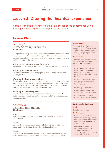# **Lesson 3: Drawing the theatrical experience**

In this lesson pupils will reflect on their experience of the performance using drawing and creating exercises to prompt discussion

# **Lesson Plan**

# Activity 1 Intro/Warm up exercises **20 minutes**

Start your workshop with some exercises to make sure that children understand that the important thing is not how well you can draw, but how much fun you can have and how creative you can be when making marks on the paper.

# **Warm up 1 - Taking your pen for a walk**

Ask pupils to draw a self-portrait without taking their pen off the paper.

# **Warm up 2 - Drawing blind**

An alternative to this is to ask pupils to draw a self-portrait with their eyes closed.

# **Warm up 3 - Draw what you hear**

Split pupils into groups and ask one person in each group to choose a picture from a newspaper, or selection of images which you have provided. This person must describe the picture to their classmates who must draw what they hear being described.

# **Warm up 4 - The wrong tools**

Attach pencils or pens onto chopsticks or long canes and ask children to draw a self-portrait by holding on to the end of the cane / chopstick only.

# Activity 2 Drawing and talking **45 minutes**

# **Step 1**

Ask the children to draw something they remember from the performance.

# **Step 2**

Discuss the drawings using open ended questions to allow the opportunity for sharing. Start with " Tell me about…..

# **Step 3**

Create a drawing gallery, memory book or memory wall for displaying work, encouraging feedback from the class on each other's work

#### **Lesson length**

This active lesson has many components and if you were to do all of them with your class, in depth, you could spend at least half a day on the activities.

#### **Resource list**

Any basic art materials but the more exciting a range of medium you can offer your pupils the better.

- A1, A2 and A3 white (hint: use a cheap roll of lining paper from a DIY store and cut it up for pupils to use), coloured and black card
- • A range of felt tipped pens, crayons, pastels, coloured pencils, charcoal, white and coloured chalk
- Scissors, glue, sticky tape
- • Newspapers or images for warm up exercises if desired
- • Long canes or chopsticks for warm up exercises if desired

# **Curriculum for Excellence**

# **Level**

Early, first and second

#### **Key Outcomes**

- Inspired by live performance I can express and explore my thoughts, feelings and opinions through drama [Expressive Arts, Drama]
- • More detailed references to other experiences and outcomes that this lesson specifically meets can be found at the end of this section.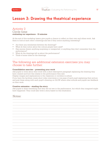# **Lesson 3: Drawing the theatrical experience**

# Activity 3 Circle time **evaluating our experience - 15 minutes**

At the end of this workshop lesson give pupils a chance to reflect on their own and others work. Ask them to look at each other's drawings and see if they notice anything interesting?

- Are there any similarities between the drawings?
- What do they notice about the colours people have used?
- Has anyone drawn anything surprising or unexpected, or anything they don't remember from the performance?
- What do the drawings tell us about the performance?
- Think of some titles for the drawings.

# The following are additional extension exercises you may choose to take further:

# **Consolidation exercise – presenting your work**

Ask pupils to write about their work with a short descriptive paragraph explaining the drawing they have created and how this relates to the performance they saw.

Display images and explanations in the classroom or corridors in school.

If you have the facilities create short video interviews or vox-pops of each pupil explaining their picture and post these along with each pupil's drawing on GLOW where other schools and pupils can feedback on their work.

# **Creative extension – stealing the story**

Ask pupils to draw something that they did not see in the performance, but which they imagined might have happened. They could also write a story based on this illustration.

# Notes: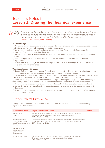# Teachers Notes for **Lesson 3: Drawing the theatrical experience**

*Drawing 'can be used as a tool of enquiry, comprehension and communication. It enables young people to order and understand their experiences, to shape ideas and to communicate their thinking and feeling to others.'* Eileen Adams, *Campaign for Drawing*

# **Why drawing?**

1) Drawing is an age appropriate way of working with young children. This workshop approach will be particularly effective for early, first and second level learners.

2) Drawing is immediate, yet it also allows time for reflection. The time and effort required to finish a picture provides scope for new insights to emerge.

3) A drawing is a trace of an experience and assists in the ordering of sensations, feelings, ideas and memory.

4) Drawing requires that we really think about what we have seen and aids observation and interpretation.

5) Drawing develops ideas, from embryonic stage to form. Through drawing we have the power to change and own our experience.

# **The above lesson will have:**

1) Engaged children post-performance through a familiar activity which they enjoy, allowing them to open up and discuss their experiences without feeling under pressure or "tested".

2) Encouraged and empowered children to think beyond the presented world of the performance, giving free reign to their own imaginations to discover or create new elements of the story.

3) Given children space and creative freedom to interpret their experience, giving them ownership of their feelings and allowing them to react creatively to the imaginary world of the performance.

4) Given teachers an opportunity to discover new things about their pupils learning or thinking by exploring the extent to which they have been absorbed by or entered into the imaginary world of the performance

5) Given pupils and teachers a chance to respond to each other's ideas and learn from what each other has taken from the performance.

# Curriculum for Excellence

Through this lesson and the activities within it children will be able to have met the following experiences and outcomes:

| Curriculum Area                                                                          | <b>Experiences &amp; Outcomes</b>                                                                                                                                                      | <b>Notes</b> |
|------------------------------------------------------------------------------------------|----------------------------------------------------------------------------------------------------------------------------------------------------------------------------------------|--------------|
| <b>Expressive Arts</b><br>Visual Art                                                     | Inspired by a live performance I can express and communicate my ideas,<br>thoughts and feelings through activities within art and design<br>EXA 0-05a, 1-05a, 2-05a                    |              |
| Extension activities -<br>creating a gallery of<br>pupils' work (online or in<br>school) | I have experienced the energy and excitement of presenting for audiences and<br>being part of an exhibition of an audience for other peoples presentations.<br>EXA 0-01a, 1-01a, 2-01a |              |
| <b>Expressive Arts</b><br>Participation in<br>performances and<br>presentations          |                                                                                                                                                                                        |              |
| Literacy and English                                                                     | As I listen and talk in different situations, I am learning to take turns and I am<br>developing my awareness of when to talk and when to listen.<br>Lit 0-02a/ENG 0-03a               |              |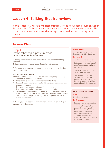

# **Lesson 4: Talking theatre reviews**

In this lesson you will take the class through 3 steps to support discussion about their thoughts, feelings and judgements on a performance they have seen. The process is adapted from a well-known approach used for critical analysis of visual arts.

# **Lesson Plan**

# Step 1 Remembering a performance **Circle Time activity – 20 minutes**

1. Each person takes at least one turn to answer the following question: *Tell us something you remember from the performance* 

2. Go round the group two or three times to get as many detailed memories as possible.

# **Prompts for discussion:**

You might find it useful to give the pupils some prompts to help their memories and the discussion:

- Try to have a couple of memories ready to share
- Think of your own memory and a different one from what has already been said
- • Try to describe memories in detail using facts
- • Take your time and try to remember small details
- Remember to think about all the aspects of the performance. What do you remember about the story, the performers, the set, the costumes, the props, the lighting, the special effects, the music, the sounds.

3. When you have gathered all your memories move on to Step 2 exploring a performance

#### **Lesson length**

Main lesson – up to 1 hour Extension activities times vary

#### **Resource list**

- • Analysis prompt cards for pupil discussions (photocopy enough for each small group to have one or two categories to discuss)
- • Classroom clear of furniture or general purpose area
- • This lesson plan is also available on Glow as an interactive classroom activity. Log on to Imaginate's Glow page to launch the resource.

#### **Curriculum for Excellence**

**Level**

Early, first and second

# **Key Outcomes**

- • I can respond to the experience of drama by discussing my thoughts and feelings [Expressive Arts, Drama]
- • More detailed references to other experiences and outcomes that this lesson specifically meets can be found at the end of this section.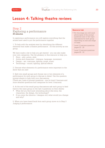# **Lesson 4: Talking theatre reviews**

# Step 2 Exploring a performance **20 minutes**

In exploring a performance you will explore everything that the artists have used to put the performance together.

1. To help with the analysis start by identifying the different elements that make a theatre performance. Do this activity as one group.

We have made a list to help you get started - you can also make your own categories. Use the glossary in this resource to help you.

- Story plot, action, style
- • Actors and characters dialogue, language, movement
- Design set, costumes, lighting, props, music
- • Technology sound, lighting, special effects

2. Discuss what elements of a performance were important in the show that you saw

3. Split into small groups and choose one or two elements of a performance for each group to discuss in detail. Use the question prompt sheets to help with your discussions (There are 2 sets of prompt questions - one for level 2 learners and more detailed questions and categories for level 3 learners)

4. At the end of the small group discussions ask each group to feed back to the main group on the last 2 questions on their sheets:

- What did you find most interesting about (the story, the characters, the design, the technology)?
- If you were the (director / designer etc) what would you change and why?

5. When you have heard back from each group move on to Step 3 Judging a performance.

#### **Resource List**

- For this stage you will need photocopies of the prompt questions (one or two topic discussions for each group depending on size and stage of class)
- \* Level 2 Learners questions pages 22 - 25
- \* Level 3 Learners questions pages 26 - 33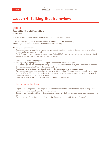# **Lesson 4: Talking theatre reviews**

# Step 3 Judging a performance **20 minutes**

In this step pupils will express their own opinions on the performance.

1. Form a large group again and ask people to comment on the following question: *What did you like or dislike about this performance and why?* 

# **Prompts for discussion:**

- Remember there is no right or wrong answer about whether you like or dislike a piece of art. You should make up your own mind.
- The information you gathered in steps 1 and 2 should help you express what you particularly liked and what worked well or not so well in your opinion.

# 2. Expressing opinions and judgements

You can express your judgements about a performance in a variety of ways:

- Talk it through take turns in your group to talk about and listen to everyone's opinions what did they like or dislike about the performance and why.
- Pupils can write up their own thoughts about the performance in a thinking book.
- Rate the performance and explain why you give it this rating. This can be done initially as a group exercise followed by an individual activity (newspapers and art critics use a star rating – where 5 stars is excellent and 1 star is very poor).
- Log your ratings of the performance on the Imaginate Glow page.

# Extension activities:

- Log on to the Imaginate Glow page and launch the interactive resource to take you through the stages above and record your class review online.
- Keep a review book for all the performances and other art that you see and books that you read over a year.
- Write a review of a performance following the discussion  $-$  for guidelines see lesson 5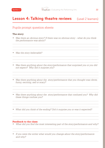# Pupils prompt question sheets

# **The story**

- *• Was there an obvious story? If there was no obvious story what do you think the performance was about?*
- *• Was the story believable?*
- *Was there anything about the story/performance that surprised you or you did not expect? Why did it surprise you?*
- *• Was there anything about the story/performance that you thought was clever, funny, exciting, sad or scary?*
- Was there anything about the story/performance that confused you? Why did *these things confuse you?*
- *• What did you think of the ending? Did it surprise you or was it expected?*

# **Feedback to the class:**

- *• What did you find the most interesting part of the story/performance and why?*
- *• If you were the writer what would you change about the story/performance and why?*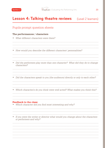

# Pupils prompt question sheets

# **The performances / characters**

*• What different characters were there?* 

*• How would you describe the different characters' personalities?* 

- *• Did the performers play more than one character? What did they do to change characters?*
- *• Did the characters speak to you (the audience) directly or only to each other?*
- *• Which character/s do you think were well acted? What makes you think this?*

# **Feedback to the class:**

- *• Which character did you find most interesting and why?*
- *• If you were the writer or director what would you change about the characters or performers and why?*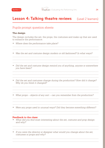

# Pupils prompt question sheets

# **The design**

The design includes the set, the props, the costumes and make-up that are used to enhance the performance.

- *• Where does the performance take place?*
- *• Was the set and costume design modern or old fashioned? In what ways?*
- *Did the set and costume design remind you of anything, anyone or somewhere you have been?*
- Did the set and costumes change during the production? How did it change? *Why do you think it changed?*
- *• What props objects of any sort can you remember from the production?*

*• Were any props used in unusual ways? Did they become something different?*

# **Feedback to the class:**

- *• What did you find most interesting about the set, costume and prop design and why?*
- *• If you were the director or designer what would you change about the set, costumes or props and why?*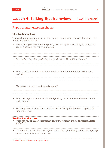

# Pupils prompt question sheets

# **Theatre technology**

Theatre technology includes lighting, music, sounds and special effects used to enhance a performance

- *• How would you describe the lighting? For example, was it bright, dark, spot lights, coloured, everyday or special?*
- *• Did the lighting change during the production? How did it change?*
- *• What music or sounds can you remember from the production? Were they realistic?*
- *• How were the music and sounds made?*
- What atmosphere or moods did the lighting, music and sounds create in the *performance?*
- Were any special effects used like smoke, wind, flying harness, magic? Did *they work well?*

# **Feedback to the class:**

- *• What did you find most interesting about the lighting, music or special effects and why?*
- *• If you were the director or designer what would you change about the lighting, music or special effects and why?*

End of Level 2 Learners questions.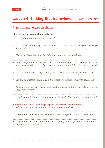

# Pupils prompt question sheets

# **The performances and characters**

- *• What different characters were there?*
- *• Did the performers play more than one character? What did they do to change characters?*
- *• How would you describe the different characters' personalities?*
- What can you remember about the different characters? Did they move or talk in *any special way? Did they have a catchphrase or habit? Were they young or old?*
- Did the characters change during the story? Were the changes believable?
- *• Did the characters speak to you (the audience) directly or only to each other?*
- *• Do you think the performers were speaking rehearsed lines or making it up as they went along?*
- *• Which character/s do you think were well acted? What makes you think this?*

- *• Which characters did you find most interesting and why?*
- *• Do you think the characters were effective for the performance – why or why not?*
- *• If you were the writer or director what would you change about the characters or performers and why?*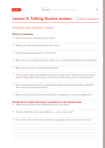

# Pupils prompt question sheets

# **Story or meaning**

*• How would you summarise the story?* 

- *• What were the major themes in the story?*
- *• Did anything surprise you in the story?*
- *• Was the story moving? Did you laugh, cry or sympathise with the characters?*
- *• Was the story true to life and believable?*
- *Did the story have a powerful scene or turning point? What was the turning point? What effect did it have on the rest of the story and the characters?*
- *• Did the production have an underlying meaning (moral, message, theme)? How was this communicated?*
- What did you think of the ending? Did it surprise you or was it expected?

- *• What did you find most interesting about the story?*
- *• Do you think the story was effective – why or why not?*
- *• If you were the writer what would you change about the story and why?*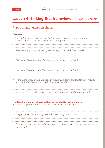

# Pupils prompt question sheets

# **Direction**

- *• Did all the elements of the production (set, lighting, music, costume, performances etc) work together? Why/why not?*
- *• Was there anything surprising about the production? Is so, what?*
- *• How would you describe the overall style of the production?*
- *• How would you describe the overall pace of the production?*
- *• Were there times when the action was slowed down or speeded up? Why do you think the director did this? What was the effect?*
- *• What did the direction suggest was most important in the production?*

- *• What did you find most interesting about the production?*
- *• Do you think the directing was effective – why or why not?*
- *• If you were the director what would you change about the performance and why?*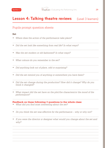

# Pupils prompt question sheets

# **Set**

*• Where does the action of the performance take place?*

- *• Did the set look like something from real life? In what ways?*
- *• Was the set modern or old fashioned? In what ways?*

- *• What colours do you remember in the set?*
- *• Did anything look out of place, odd or surprising?*
- Did the set remind you of anything or somewhere you have been?
- Did the set change during the production? How did it change? Why do you *think it changed?*
- What impact did the set have on the plot/the characters/or the mood of the *performance?*

- *• What did you find most interesting about the set?*
- *• Do you think the set was effective for the performance – why or why not?*
- *• If you were the director or designer what would you change about the set and why?*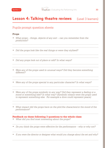# Pupils prompt question sheets

# **Props**

- What props things, objects of any sort can you remember from the *production?*
- *• Did the props look like the real things or were they stylised?*
- *• Did any props look out of place or odd? In what ways?*
- *• Were any of the props used in unusual ways? Did they become something different?*
- Were any of the props special to any particular character? In what ways?
- *Were any of the props symbolic in any way? Did they represent a feeling or a mood or something else? In what way? (Symbolic means were the props used to represent something else. For example a dove could represent peace)*
- What impact did the props have on the plot/the characters/or the mood of the *performance?*

- *• What did you find most interesting about the props?*
- *• Do you think the props were effective for the performance – why or why not?*
- *• If you were the director or designer what would you change about the set and why?*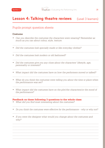

# Pupils prompt question sheets

# **Costume**

- *• Can you describe the costumes the characters were wearing? Remember as much as you can about colour, style, texture.*
- *• Did the costumes look specially made or like everyday clothes?*
- *• Did the costumes look modern or old fashioned?*
- *Did the costumes give you any clues about the characters' lifestyle, age, personality or interests?*
- What impact did the costumes have on how the performers moved or talked?
- *• What do you think the costumes were telling you about the time or place when the performance was set?*
- What impact did the costumes have on the plot/the characters/or the mood of *the performance?*

- *• What did you find most interesting about the costumes?*
- *• Do you think the costumes were effective for the performance why or why not?*
- *• If you were the designer what would you change about the costumes and why?*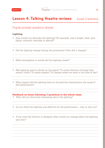

# Pupils prompt question sheets

# **Lighting**

- *• How would you describe the lighting? For example, was it bright, dark, spot lights, coloured, everyday or special?*
- *• Did the lighting change during the production? How did it change?*
- *• What atmosphere or moods did the lighting create?*
- *• Was lighting used to divide up the space? To create illusions of things that weren't there? To create shapes? To change where we were or the time of day?*
- What impact did the lighting have on the plot/the characters/or the mood of *the performance?*

- *• What did you find most interesting about the lighting?*
- *• Do you think the lighting was effective for the performance – why or why not?*
- *• If you were the director or designer what would you change about the lighting and why?*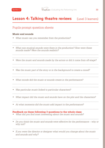# Pupils prompt question sheets

# **Music and sounds**

- What music can you remember from the production?
- What non-musical sounds were there in the production? How were these *sounds made? Were the sounds realistic?*
- Were the music and sounds made by the actors or did it come from off-stage?
- Was the music part of the story or in the background to create a mood?

- *• What moods did the music or sounds create in the performance?*
- *• Was particular music linked to particular characters?*

*• What impact did the music and sounds have on the plot and the characters?*

*• At what moments did the music add impact to the performance?* 

- *• What did you find most interesting about the music and sounds?*
- *Do you think the music and sounds were effective for the performance why or why not?*
- *• If you were the director or designer what would you change about the music and sounds and why?*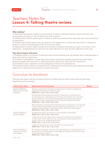# Teachers Notes for **Lesson 4: Talking theatre reviews**

# **Why talking?**

1) Supported discussion creates an environment in which individual opinion is both welcome and encouraged, as long as it can be backed up with evidence.

2) Talking about theatre gives pupils a chance to ask any questions they may have about the production or experience.

3) Detailed discussions allow time and space for the experience to settle and may lead to a change of opinion or better understanding of the art-form as a result.

4) Talking about theatre takes us beyond the surface evaluation allowing us to get to the heart of the experience, understanding not only how we were affected, but why we were affected in that way.

# **The above lesson will have:**

1) Engaged pupils in a process of reflection and critical thinking that will deepen their understanding of their particular art experience.

2) Created an atmosphere of open discussion where pupils feel equally supported and safe when sharing thoughts and opinions, or asking questions about their particular art experience.

3) Increased pupils' enjoyment of and engagement with live art experiences.

4) Developed pupils' ability to empathise and understand human emotion and experience through reflection on characters and events in a particular piece.

# Curriculum for Excellence

Through this lesson and the activities within it children will be able to have met the following experiences and outcomes:

| Curriculum Area                                           | <b>Experiences &amp; Outcomes</b>                                                                                                                                                                                                                                                                                                               | <b>Notes</b> |
|-----------------------------------------------------------|-------------------------------------------------------------------------------------------------------------------------------------------------------------------------------------------------------------------------------------------------------------------------------------------------------------------------------------------------|--------------|
| Health & Wellbeing<br>Mental and emotional<br>wellbeing   | Using my experience of attending a performance I am able to express my<br>feelings and the ability to talk about them.<br>HWB0-01a, 1-01a, 2-01a, 3-01a, 4-01a                                                                                                                                                                                  |              |
|                                                           | By exploring and discussing the actions of characters in a performance I<br>am developing my understanding of the things which affect mine and other<br>people's behaviour. I am learning that feelings and reactions can change<br>depending on what is happening within and around myself and others.<br>HWB0-04a, 1-04a, 2-04a, 3-04a, 4-04a |              |
|                                                           | When discussing my thoughts and feelings about a performance I am learning<br>to build positive relationships through respecting and believing in my own<br>opinions whilst listening to and respecting the opinions of other people.<br>HWB0-05a, 1-05a, 2-05a, 3-05a, 4-05a                                                                   |              |
| Health & Wellbeing<br>Social wellbeing                    | By respecting others I am learning to value people as individuals.<br>HWB0-10a, 1-10a, 2-10a, 3-10a, 4-10a                                                                                                                                                                                                                                      |              |
|                                                           | I make the most of the opportunity to discuss my feelings and reactions to<br>a performance I have seen as a way of managing my learning and strive to<br>support others to be confident learners too.<br>HWB0-101a, 1-11a, 2-11a, 3-11a, 4-11a                                                                                                 |              |
|                                                           | I enjoy this opportunity to work with others in a new situation.<br>HWB0-14a, 1-14a, 2-14a, 3-14a, 4-14a                                                                                                                                                                                                                                        |              |
| Health & Wellbeing<br>Planning for choices<br>and changes | By bringing my thoughts, opinions and understanding of a performance to our<br>group work I am learning what my strengths and abilities are which will help<br>me as I develop as a learner.<br>HWB0-19a, 1-19a, 2-19a, 3-19a, 4-19a                                                                                                            |              |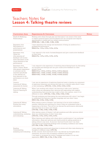# Teachers Notes for **Lesson 4: Talking theatre reviews**

| <b>Curriculum Area</b>                                                                                                                                                                                  | <b>Experiences &amp; Outcomes</b>                                                                                                                                                                                                                                                                                                                                                        | <b>Notes</b> |
|---------------------------------------------------------------------------------------------------------------------------------------------------------------------------------------------------------|------------------------------------------------------------------------------------------------------------------------------------------------------------------------------------------------------------------------------------------------------------------------------------------------------------------------------------------------------------------------------------------|--------------|
| Health & Wellbeing<br>Relationships                                                                                                                                                                     | Working with others through play and discussion I am aware of the need<br>to respect personal space and boundaries and can recognise and respond<br>appropriately to verbal and non-verbal communication.<br>HWB0-45b, 1-45b, 2-45b, 3-45b, 4-45b                                                                                                                                        |              |
| <b>Expressive Arts</b><br>Participation in<br>performances and<br>presentations                                                                                                                         | I have experience the energy and excitement of being an audience for a<br>professional performance.<br>EXA0-01a, 1-01a, 2-01a, 3-01a, 4-01a                                                                                                                                                                                                                                              |              |
| <b>Expressive Arts;</b><br>Visual Art<br>(this assumes all<br>feedback will involve<br>some discussion of the<br>visual elements of the<br>performance)                                                 | I can respond to the work of artists/designers and give constructive feedback<br>on their work.<br>EXA0-07a, 1-07a, 2-07a, 3-07a, 4-07a                                                                                                                                                                                                                                                  |              |
| <b>Expressive Arts;</b><br>Dance, Drama, Music<br>(this generic experience<br>or outcome can be<br>matched specifically<br>to the relevant art<br>form featured in the<br>performance you have<br>seen) | I can respond to the experience of watching dance/drama/music by discussing<br>my thoughts and feelings and can give constructive feedback on other<br>people's work.<br>EXA0-011a, 1-011a, 2-011a, 3-011a, 4-011a (dance)<br>EXA0-015a, 1-015a, 2-015a, 3-015a, 4-015a (drama)<br>EXA0-019a, 1-019a, 2-019a, 3-019a, 4-019a (music)                                                     |              |
| Literacy;<br>Listening & Talking<br>(enjoyment & choice)                                                                                                                                                | I can use my experience of exploring theatrical texts to develop my enjoyment<br>of exploring characters and stories and help me to identify texts which I enjoy<br>or find interesting. LITO-01b, 1-01b, 2-01b, 3-01b, 4-01b                                                                                                                                                            |              |
| Listening & Talking<br>Tools for listening &<br>talking                                                                                                                                                 | When I am working with others I am learning to take turns, listening<br>when others are expressing their opinions and responding with respect,<br>understanding that everyone has a right to their own opinion, even if it is<br>different to mine. LIT0-02a, 1-02a, 2-02a, 3-02a, 4-02a                                                                                                 |              |
|                                                                                                                                                                                                         | Through analysing and discussing the way performers tell a story I can begin<br>to understand the features of spoken language and use what I learn.<br>ENG1-03a, 2-03a, 3-03a, 4-03a                                                                                                                                                                                                     |              |
| Listening & Talking<br>Finding and using<br>information                                                                                                                                                 | When seeing a piece of theatre I am learning to be an active audience<br>member, listening and watching for clues to help me understand what is<br>happening in the story. This will let me discuss the performance afterwards<br>and may help me to learn new things.<br>LIT0-04a, 1-04a, 2-04a, 3-04a, 4-04a                                                                           |              |
| Listening & Talking<br>understanding, analysing<br>and evaluating                                                                                                                                       | After seeing a piece of theatre I will ask questions and offer opinions which<br>show my understanding of what I have seen.<br>LIT0-07a, 1-07a, 2-07a, 3-07a, 4-07a                                                                                                                                                                                                                      |              |
|                                                                                                                                                                                                         | When listening and talking with others about a performance I can exchange<br>information, ideas and opinions and clarify points by asking questions or<br>asking others to say more. At second, third and fourth level I can draw<br>conclusions and summarise findings with increasing confidence and clarity.<br>LIT1-09a, 2-09a, 3-09a, 4-09a                                         |              |
| Reading<br>Understanding,<br>analysing and evaluating                                                                                                                                                   | I enjoy exploring events and characters in stories and other texts sharing my<br>thoughts in different ways. LIT0-19a<br>At first, second, third and fourth level I can discuss my thoughts about<br>characters, structure with increasing confidence and clarity.<br>I can begin to recognise the writer's message and relate it to my own<br>experience. ENG1-19a, 2-19a, 3-19a, 4-19a |              |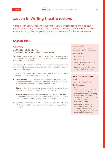In this lesson you will take the pupils through a process for writing a review of a performance they have seen. You may find it useful to do the talking reviews activity first to gather people's opinions and evidence for the written review.

# **Lesson Plan**

# Activity 1 Looking at reviews **Paired and small group activity – 20 minutes**

We have provided a sample review to help with this exercise, but it may be useful to ask your pupils to find a theatre review themselves and bring it in for this class.

Using one of the reviews provided, or the reviews your pupils bring in, begin with an exercise to analyse the style, content and overall message of the piece.

In pairs or small groups ask pupils to discuss the review and make observations under the following headings:

- **Information** what facts do we learn about the production? (what the set looks like, how many actors are in it, who was in the audience, where it was being performed etc)
- **Story** what does the review tell us about the story? (is there a synopsis, does it tell us about the characters etc)
- **Atmosphere** what does the reviewer tell us about the feel of the piece? (action packed, a romance, was it slow moving or fast, did music or lighting play a part in setting the mood?)
- **Opinion** what do you think the reviewer's opinion of the play is? Would you like to see this show as a result of reading the review?

# **Lesson length**

Main lesson – up to 2 hours Extension activities times vary

#### **Resource list**

- • Pencils/pens
- • Paper or jotters
- • Copies of sample reviews –at end of this section
- Pupils review checklist sheet at the end of this section.

# **Curriculum for Excellence**

# **Level**

Second, Third and Fourth

# **Key Outcomes**

- • I can write a review which conveys opinion and relevant information and detail to support my argument, creating a review which shares my experience of the performance and how it made me feel. [Literacy, Writing]
- • More detailed references to other experiences and outcomes that this lesson specifically meets can be found at the end of this section.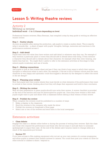# Activity 2 Writing a review **Individual work – 1 to 1.5 hours depending on level**

Professional theatre reviewer, Mary Brennan, has compiled a step by step guide to writing an effective theatre review.

# **Step 1 – Scatter sheets**

As soon as possible after seeing the production, ask pupils to create a scatter sheet. This is exactly what it sounds like – a sheet of paper with pupils' thoughts, feelings, memories and reactions to the performance scattered across it.

# **Step 2 – Add detail**

Pupils then look over what they have written and add detail in whatever way they can. For example if they mention a particular place or event they should add in details about that thing. If they mention a character they should add in details about that character, for example what they were wearing, any habits they had etc. You might find it useful to refer to the extension activities at this stage to help extend pupils vocabulary and use of words.

# **Step 3 – Making connections**

Ask pupils to look at their scatter sheet and see if they can think of any ways in which their various thoughts or reflections relate to each other. For example, if the set is full of vibrant colours and the main character is very happy and optimistic could this suggest a decision by the designer to reflect the mood in the set design?

# **Step 4 – Planning your review**

Now that pupils have their scatter sheets they must decide on what elements of the performance they want to include in their review, thinking about how they will shape their argument and build to their conclusion.

# **Step 5 – Writing the review**

With all their preparation in place pupils should now write their review. A review checklist is provided at the end of this section and may be photocopied for pupils use. Once they have written a first draft pupils might want to pair and share with a classmate before editing a final version of their review.

# **Step 6 – Publish the review**

When complete the reviews could be published in a number of ways:

- Make a display in the classroom
- Send the reviews to the company who made the show
- Publish the reviews on Imaginate's Glow page
- Select one or two of the reviews and send them to the local newspaper

# Extension activities:

# **• Class debate**

Engage the class in a debate either before or during the process of writing their reviews. Split the class into those who enjoyed the performance and those who did not enjoy it and ask them to nominate spokespeople to argue their case. At the end of the debate ask if anyone wants to change sides as a result of the arguments put forward.

# **Review TV**

If you have access to film-making equipment why not set up your own version of a review programme and allow pupils to present their theatre reviews to camera. You could then post your videos on Glow for other schools or classes to share / respond to.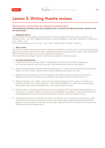

# Extension activities to extend vocabulary

# **The following activities have been adapted from a resource by Mary Brennan, theatre critic for The Herald.**

# **Stepping stones**

In this activity you will explore stepping stones of word strength (this could take in artwork, too). Choose a word – e.g. 'like'. Making it stronger could go as follows: I quite like. I really like. I'm fond of. I love. I adore…etc.

It works for negatives too, of course: I don't like. I totally dislike. I loathe. I hate etc.

# **Word chain**

The idea is to make creating and using an extended vocabulary a visual and / or active learning activity. Explore word chains, discuss how they could be illustrated or brought to life in other ways, for example: The word chain for walk>run could be inscribed in footprints.

The word chain for whisper>shout could have 'ear ratings' or volume buttons.

# **• Creating descriptions**

- 1. Describe yourself in just five words a) appearance and then b) what kind of person you are. Describe someone else, don't say who. Can others guess from your description?
- 2. Explore positive/negative powers of words. Bullying is, of course, a prime example of words being used to wound or scare. Discuss which words or phrases are hurtful, and why.
- 3. Explore words as protective armour. Everyone writes down their good points, with a line of justification for each. The brave (and confident) can admit to faults if they feel up to it!
- 4. Slang words and 'cool' words these have the power to make you feel trendy (or not like your parents). So start a two-sided dictionary - like a French/English one - where the everyday (and exam-pass) word is listed alongside the current slang, and vice-versa.
- 5. Is there magic in having words that not everyone understands? Those Harry Potter spells have a Latin feel, for instance. Make up words that sound strange and magical - avoid witchcraft and try for gobbledygook instead. (Poems by Edward Lear could be useful to explore for this).
- 6. Words have the power to influence our ideas, our choices so, for a group or class project, tackle advertising! Come up with a product. Decide who is the target consumer? Name the product to appeal to that consumer. Invent the catchy slogan. Sketch out the TV commercial. This can be as detailed as time and energy allow.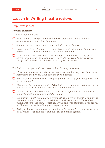

# Pupil worksheet

# **Review checklist**

A review should include:

- **Facts** details of the performance (name of production, name of theatre *company, venue, date of performance).*
- *Summary of the performance but don't give the ending away*
- *Good beginnings – try to make your first paragraph gripping and interesting to keep the readers interested and curious to hear more.*
- *Your opinion Don't be afraid to say what you think but do back up your opinion with reasons and examples. The reader wants to know what you thought of the show – so be bold and strong but not cruel.*

Think about your personal responses to the following questions:

- *What most interested you about the performance the story, the characters / performers, the design, the music, the special effects?*
- *Was the performance moving? Did you laugh or cry? Did you sympathise with the characters?*
- **Was the performance stimulating? Did it give you something to think about or** *help you look at the world or people in a different way?*
- *Detail ensure you give details to back up your argument. Explain why you thought something was wonderful or boring.*
- *Conclusion – finish up the review by repeating your main thoughts and giving the reader some direction – should they go and see it or not? Think about who might enjoy the show – what age-group and type of person. If you are fair and honest the reader will appreciate your review.*
- *Rating choose how you want to rate the performance. Most newspapers use a star rating – you can use it or make your own rating system.*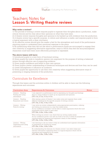# Teachers Notes for **Lesson 5: Writing theatre reviews**

# **Why write a review?**

1) The process of writing a review requires pupils to organise their thoughts about a production, make critical choices and be clear about their opinions on what they have seen.

2) A theatre review requires thoughts and opinions to be backed up with evidence from the production. 3) A theatre review has a specific purpose, to inform and influence a reader, and requires pupils to form a logical argument with a clear conclusion.

4) An effective review should give the reader a feel for the atmosphere and mood of the performance requiring pupils to understand their emotional response to the piece.

5) By questioning what they did not like about a performance pupils are encouraged to engage their own creativity in suggesting alternative approaches, ways in which they feel the story/atmosphere/ characters could have been more effectively portrayed or expressed.

# **The above lesson will have:**

1) Introduced pupils to a new form of functional writing.

2) Given pupils the tools to transform opinion into argument for the purpose of writing a balanced review through effective use of supporting evidence.

3) Given pupils confidence and belief in their own opinion.

4) Given pupils a better understanding of theatrical techniques and devices and how they can be used to create atmospheres or influence an audience.

5) Given pupils the opportunity to use their own creativity when suggesting alternative ways of presenting or staging elements of the production.

# Curriculum for Excellence

Through this lesson and the activities within it children will be able to have met the following experiences and outcomes:

| Curriculum Area                                           | <b>Experiences &amp; Outcomes</b>                                                                                                                                                                                                                                                             | <b>Notes</b> |
|-----------------------------------------------------------|-----------------------------------------------------------------------------------------------------------------------------------------------------------------------------------------------------------------------------------------------------------------------------------------------|--------------|
| Literacy – Reading<br>Finding and using<br>information    | I can respond to a performance text by expressing my thoughts and feelings<br>about it using evidence to back up my arguments and opinions.<br>LIT1-11a, 2-11a, 3-11a, 4-11a                                                                                                                  |              |
| Literacy – Reading<br>Enjoyment and choice                | After seeing a piece of theatre I can make notes and organise them under<br>different headings for the specific purpose of writing a review.<br>LIT1-15a, 2-15a, 3-15a, 4-15a                                                                                                                 |              |
| Literacy – Writing<br>Tools for writing                   | I can write my review independently using appropriate punctuation, ordering<br>and linking my sentences in a way that makes sense.<br>As my confidence increases I will be able to create arguments which flow and<br>paragraphs which relate to each other.<br>LIT1-22a, 2-22a, 3-22a, 4-22a |              |
|                                                           | When writing my review I can check that my writing makes sense.<br>As my confidence grows I can edit my work to be sure it meets its purpose and<br>communicates my meaning and argument clearly on first reading.<br>LIT1-23a, 2-23a, 3-23a, 4-23a                                           |              |
| Literacy – Writing<br>Organising and using<br>information | I am learning to use my notes to help me understand and organise information<br>in preparation for writing my review.<br>LIT1-25a, 2-25a, 3-25a, 4-25a                                                                                                                                        |              |
|                                                           | By understanding the features of a theatre review I can select ideas and<br>relevant information organising them in a logical sequence which will be<br>interesting and engaging for my reader.<br>LIT1-26a, 2-26a, 3-26a, 4-26a                                                              |              |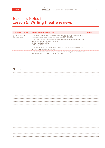# Teachers Notes for **Lesson 5: Writing theatre reviews**

| Curriculum Area                      | <b>Experiences &amp; Outcomes</b>                                                                                                                                          |  |
|--------------------------------------|----------------------------------------------------------------------------------------------------------------------------------------------------------------------------|--|
| Literacy – Writing<br>Creating texts | I can write a review which conveys information about the performance I have<br>seen and expresses my opinions to my reader. LIT1-28a/29a                                   |  |
|                                      | I can write a review which conveys information in a style which engages my<br>reader and is appropriate for the genre.<br>ENG2-27a, 3-27a, 4-27a<br>LIT2-28a, 3-28a, 4-28a |  |
|                                      | I can convey opinion and use relevant information and detail to support my<br>argument. LIT2-29a, 3-29a, 4-29a                                                             |  |
|                                      | I can create a review which shares my experience of the performance and how<br>it made me feel. LIT1-30a, 2-10a, 3,30a, 4-30a                                              |  |

# Notes: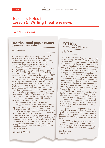# Teachers Notes for **Lesson 5: Writing theatre reviews**

# Sample Reviews

# One thousand paper cranes

Eastwood Park Theatre, Glasgow

#### **Mary Brennan \*\*\*\***

Make a thousand paper cranes – so the Japanese story goes – and your wish will come true. Painstaking folding is needed to produce one of these origami emblems of hope – a thousand would challenge fingertips and patience.

But if you believed that this ritual task would make your best friend get better? Like 10 year old Chiziko you'd fold any scrap of paper within reach. Then Sadako would leave hospital in good time for school sports day where – egged on by you, her trainer, she'd win the Big Race.

Written by Abigail Docherty and directed by Lu Kemp – and now heading to Edinburgh as part of this week's Bank of Scotland Imaginate Festival – this beguiling two–hander aimed at an 8+ audience is a portrait of childhood and friendship that strikes chords whatever your age. We file in, sit on gym mats, as Chiziko (Rosalind Sydney) puts Sadako(Julia Innocenti) through her paces. Straight off the pair conjure up the sheer daft happiness and bonded intensity of true, unconditional friendship .

But Sadako is suddenly hospitalised.

Why? Bit by bit – through other characters played by the cast – details of the effects of the Hiroshima bomb filter into the story. What is potently foregrounded throughout is the need to go forward, have dreams and embrace hope. If the nurse who wants to be a trapeze artist is over stretching this theme, the girl's friendship – not the least in the aftermath of Sadako's death – is life affirming without being mawkish. As paper cranes fill the air Chiziko's message is that people and memories, live on if you fold them into your heart.

Herald 10.02.2010

# ECHOA Traverse Theatre, Edinburgh

#### **Kelly Apter** \*\*\*\*\*

It's hard to conceive of anyone - of any age – not loving ECHOA. French company, Arcosm has so much talent in it's midst that we're bowled over by it. The Bank of Scotland Imaginate Festival tries hard to hit the spot with both adults and children, and this innovative show is a masterclass in how to engage a multi–generational audience.

The curtain opens to reveal a striking set – two large xylophones, a huge marimba, several pieces of drum kit and a plethora of metal frames for the performers to climb on. Dramatic lighting throws shadows on the wall or picks the company out in sharp silhouette, as two musicians and two dancers begin to showcase their skills.

Quickly the line between each discipline begins to blur. Musicians dance, dancers play and all four demonstrate a firm grasp on physical humour. Moving in impressively tight unison, they build up one wall of sound after another using instruments, bars, each other's bodies – and, in one hilarious routine, their mouths.

Rarely is contemporary dance so instantly accessible and fun, eliciting peels of giggling laughter from young mouths alongside adult guffaws. Best of all we're laughing at the same joke, on the same level.

Without saying a single word the performers draw us into their world and unite us as an audience. A return visit from Arcosm would do Imaginate no harm at all.

The Scotsman 01.06.2009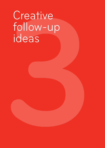# Creative<br>follow-up<br>ideas<br>**1** Creative follow-up ideas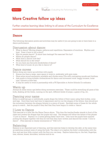<span id="page-46-0"></span>Further creative learning ideas linking to all areas of the Curriculum for Excellence

# **Dance**

The following discussion points and activities may be useful if you are going to see or have been to a dance performance

# Discussion about dance:

- What is dance? Moving shapes, patterns and repetitions. Expression of emotions. Rhythm and beat. Does it have to tell a story?
- Why do people dance? To show their feelings? For exercise? For fun?
- • Where do people dance?
- What does a dancer look like?
- What should he or she wear?
- • Do you have any favourite kinds/styles of dance?
- • What kind of music do you like to dance to?

# Dance moves

Before doing any warm-up activities with pupils:

- Ensure you have a large, open space to work in, preferably with gym mats.
- Have some sound equipment available and choose some CDs with contrasting moods and rhythms.
- Ask pupils to bring suitable clothes/shoes for dance and movement work: baggy trousers, loose tops, trainers or bare feet.
- • It may be useful to work in partnership with a PE Specialist or Active Schools Co-ordinator.

# Warm up

Always do some warm-ups before doing movement exercises. These could be stretching all parts of the body, shaking all the limbs, running on the spot, different kinds of jumps, a game of tig, etc.

# Dancing your name

Either in small groups or individually, pupils shape the letters of their name using their bodies, arms and legs. Once they have had time to experiment and try out the shapes of the letters, they should put the movement between the shapes (letters) to a piece of music. Spotlight some of these for the whole group to watch. Ask the pupils if they feel that they have begun to create a 'dance'.

# I Love to Dance

This exercise is a little like the Name Dance above. This time the teacher/leader stands in front of the class and creates the shapes that the pupils will copy. The shapes will follow the letters of the phrase 'I Love to Dance'. Repeat 2 or 3 times getting faster each time. Only once the pupils have enjoyed putting the shapes together will they be told that they have written and danced the words "I love to dance". (This exercise is clearly reminiscent of "Y.M.C.A"!).

# Balancing

Balance is an important part of dancing, and this exercise helps to develop the skill, at the same time as exploring unusual ways of using the body. The object is to explore the body's relationship with the floor and see how little contact with the floor you can keep. Explore balancing on: the feet, fingertips, toes, elbows, knees, shoulders, bottoms and so on.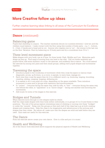Further creative learning ideas linking to all areas of the Curriculum for Excellence

# **Dance** (continued)

# Balancing game

Pupils start standing in a space. The teacher randomly shouts out numbers between 1 and ten and the children must balance / make contact with the floor using this number of body parts – e.g.  $1$  – bottom, 5 – 2 feet, 2 hands and a head and so on). Anyone who topples over is 'out' – the winner is the last one on the floor. Variation: Start by balancing on 10 body parts and do a countdown from 10 to 1.

# Three level movement piece

Make shapes with your body, one at a time, for three levels: High, Middle and Low. Memorise each shape as they go. Find ways of moving from one level to the next. Call out levels randomly and pupils follow, add some rhythmic music to the exercise, and suddenly this is dance. You could extend the exercise by joining into pairs and then small groups, adding each pupils shapes and movements together.

# Traversing the space

- Introduce pupils to the vocabulary of movement while they cross the space in various ways: diagonally, across, up & down, in a curve, in spirals, in wavy lines, zigzags etc.
- Each time they cross the space they do it to a different word, e.g. bouncing, leaping, bounding, crawling, sliding, creeping, hopping, slithering etc.
- • It is easiest to do it one pupil at a time, depending on the space available. Then introduce movement in pairs and in groups with repetition and synchronisation.
- In "unison" everyone facing the same way, side by side, in "line" everyone facing the same way, one behind the other, in "opposition" or in "mirror image" – facing one another and mirroring the movements.
- • Add music for some of the stages in this exercise.

# Bridges and Tunnels

When dancers move through or over shapes made by others.

Half the class make shapes with their body (either individually, or in groups of 2 or 3) and freeze in their positions. The rest of the group explore interesting ways of climbing or moving over these "bridges" or under the 'tunnels'. Swap over the groups so that each half of the class has a go at both creating shapes and crossing them. Help the class to be imaginative and adventurous in the pictures and shapes that they create. But above all, make sure that the shapes are solid and safe before they are used. Gym mats are useful for this exercise.

# The Dance

From the exercise above create your own dance. Give it a title and put it to music.

# Health and Wellbeing

All of the Dance work described above supports the physical aspects of Health and Wellbeing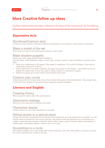Further creative learning ideas linking to all areas of the Curriculum for Excellence

# **Expressive Arts**

# Storyboard/cartoon strip

Create your own version of the performance and present it as a cartoon, a short play or animation.

# Make a model of the set

From what you saw in the performance produce a set model.

# Make shadow puppets

Create your own using these simple guidelines.

You will need - stiff cardboard, paper, a stick, glue or tape, a pencil, a pair of scissors, a screen and a light.

- • Draw your characters on the paper. Glue paper to cardboard. Cut round the shape. Glue stick to cardboard (a glue gun is good)
- Find a light source to make a shadow; the light must shine on the screen the screen can be as simple as a plain wall, or you can make it using a sheet or a big piece of paper.
- Make the puppet story with words, sound effects and music.

# Creative play corner

Collect items for the creative play corner that remind the pupils of the performance. Encourage them to tell their own version of the performance using the objects available.

# **Literacy and English**

# Creating Poetry

Write a poem or haiku about the performance.

# Alternative endings

Write your own alternative ending to the story.

# Characters diaries

Create a diary for one of the characters in the play.

# Telling stories in a special place

Create an unusual environment to tell stories in the classroom or in the school hall or outside. e.g. tell stories under a parachute if the school has one, use poles to hold the parachute up, tell stories on a 'magic' carpet just big enough to hold the whole class, make a tepee of brown paper and bamboo or willow poles, tell stories outside - under a tree or in a tent.

# Storytelling in a circle

The teacher begins a story and stops after a few sentences. The next child adds to it and so on round the circle until the story comes to an end.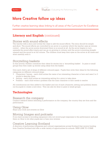Further creative learning ideas linking to all areas of the Curriculum for Excellence

# **Literacy and English (continued)**

# Stories with sound effects

The teacher tells a story and invites the class to add the sound effects. The story should be simple and short. The sound effects are controlled by an arrow or a pointer which the teacher uses as volume control – when the arrow points downward there is no sound at all. As the arrow begins to turn upwards the sound effect starts and can go on growing in volume until the arrow is pointing straight upward and the sound is at full volume. The children must keep their eyes on the arrow at all times and work carefully with it.

# Storytelling baskets

In this activity children contribute their ideas for stories into a 'storytelling basket'. In pairs or small groups they then make up stories using ideas from the basket.

Give each child a set of strips of different coloured paper. Pupils then write their ideas for the following categories on different coloured strips:

- Characters / heroes each child writes the name of an interesting character or hero and uses 2 or 3 words to describe them
- Setting each child writes an interesting setting for a story to take place
- Problem each child writes a problem that the main character or hero needs to resolve

All contributions are then added to the basket and one of each (character, setting and problem) drawn out by pupils to create a new story. This can also be done in pairs or small groups.

# **Technologies**

# Research the company

Conduct research before attending a performance on the company, the country they are from and the performance.

# Using Glow

Share your work and reviews on Glow

# Moving Images and podcasts

If you have access to recording equipment why not record pupil responses to the performance and post them on Glow to let other pupils see or hear your reviews.

# Creative Learning Scotland

A directory of performing companies and cultural organisations across Scotland that receive funding from Creative Scotland and offer a wide variety of opportunities for schools. WEB LINK TO COME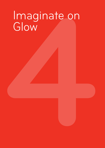# **4** Imaginate on Glow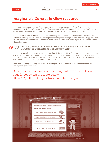# <span id="page-51-0"></span>**Imaginate's Co-create Glow resource**

Imaginate has created a new online interactive teaching tool for use via Glow. Developed in consultation with Busby Primary, East Renfrewshire and Whalsay Primary, Shetland, the 'tool-kit' style resource will be available for primary and secondary teachers and pupils across Scotland.

The new Glow resource supports teachers in meeting the Curriculum for Excellence Expressive Arts Outcomes and Experiences and is a development of Imaginate's range of resources on art appreciation. This links very clearly with the Curriculum for Excellence Expressive Arts Experiences and Outcomes, which state that:

*Evaluating and appreciating are used to enhance enjoyment and develop*   $B599$ *knowledge and understanding (of expressive arts).* 

In using the new Imaginate Glow resource pupils will develop critical thinking skills and become more able to express their own thoughts, feelings and opinions with confidence. By working with others through the resource pupils will learn to have confidence in their own opinions, whilst also valuing, and learning from the views and opinions of other people.

Thanks to Learning Teaching Scotland, Co-create project and Creative Scotland who funded the development of the resource.

To access the resource visit the Imaginate website or Glow page by following the route below: [Glow / My Glow Groups / National Site / Imaginate](https://secure.glowscotland.org.uk/login/login.htm)

| O home O step one O step two O step three                                              | resources<br>about            |
|----------------------------------------------------------------------------------------|-------------------------------|
| <b>Imaginate - Evaluating Performance Art</b><br>Discuss and review a live performance | teachers<br>quide             |
| Step 1: Remembering the Performance                                                    |                               |
| <b>Step 2: Exploring the Performance</b>                                               |                               |
| <b>Step 3: Judging the Performance</b>                                                 | $\bullet$ $\bullet$ $\bullet$ |
| begin<br>If you are ready, click on the button to begin.                               |                               |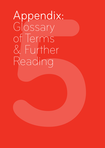# **Appendix:**<br>Glossary<br>of Terms<br>& Further<br>Reading Appendix: Glossary of Terms & Further Reading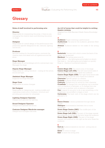<span id="page-53-0"></span>

# **Glossary**

# **Roles of staff involved in performing arts:**

#### **Director**

Responsible for interpreting the script, if there is one, managing the creative team and directing the action on stage.

# **Designer**

Responsible for overall design of the performance with potentially specific designers for set, costume, lighting and sound.

#### **Producer**

Secures funding for the performance, contracts the creative team and deals with all logistics around the show.

#### **Stage Manager**

Responsible for all backstage activity and prompt copy. Manages the stage.

# **Deputy Stage Manager**

Responsible for calling the show – cueing all the actors, sound and light.

#### **Assistant Stage Manager**

Supports the Stage Manager.

#### **Stage Crew**

Responsible for scene changes.

#### **Set Designer**

Responsible for designing set, making models and organising construction of scenery, furniture and providing ground plan for rehearsals

# **Lighting Designer/Operator**

Designs and operates the lighting.

#### **Sound Designer/Operator**

Designs and operates the sound.

#### **Costume Designer/Wardrobe manager**

Designs and manages costumes.

#### **An A-Z of terms that could be helpful in writing theatre reviews.**

*Adapted from SQA Standard Grade Drama Knowledge Bank*

**A**

**Audience** People watching a performance

**Auditorium** The area for the audience, generally filled with seats

**Avenue** Audience seated on two sides of the acting area

# **B**

**Backcloth** Canvas cloth which covers the back of the stage: can be painted

**Blackout** The acting area is not lit Slow fade to - the lighting/sound is faded out slowly Fast fade to - the lighting/sound is faded out quickly Snap to - blackout is achieved instantly

# **C**

**Centre Stage (CS)** The centre area of the stage **Centre Stage Left (CSL)** The left hand centre side of the acting area as the actor faces the audience **Centre Stage Right (CSR)** The right hand centre side of the acting area as the actor faces the audience **Character** Specific person in a drama **Comedy** A drama which is funny/comical **Costume** Clothes worn by actors for their character **Crossfade** To change from one lighting cue to another with no blackout in between, or to change from one sound cue to another with no silence in between **Cue** A signal for an actor to do or say something, or for a lighting or sound effect to begin or end **Cyclorama** The back wall of the stage which can be painted or lit

# **D**

**Dance Drama** A drama presented through dance moves

**Dialogue** A conversation between two or more characters

**Down Stage Centre (DSC)** The middle part of the stage nearest the audience

**Down Stage Left (DSL)** The part of the stage nearest the audience on the left as the actor faces the audience **Down Stage Right (DSR)** The part of the stage nearest the audience on the right as the actor faces the audience

# **E**

**End on** Audience seated at one end – acting area at the other **Enter** To come on stage **Exit** To leave the acting area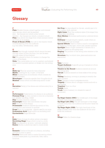# **Glossary**

# **F**

**Flats** Wooden frames, joined together and covered with canvas, which can be painted

door - flat frames into which a door is built

window - flat frames into which a window is built

**Flies** Area above the stage from where scenery/actors are flown in on pulleys

**Front of House (FOH)** Any job in the theatre which involves dealing with the audience e.g. box office, refreshments, usher

# **G**

**Gauze** See-through material which cannot be seen through when lit from the front, but can be seen through when lit from behind

**Gel** Film placed in front of a lantern to change the colour of the beam

**Gobo** Thin metal plate cut out in a pattern and placed in a lantern to project pattern or shape into the acting area

# **М**

**Make-up** Worn by actors for their character **Masks** Covering for all, or part, of the face **Mime** Stylised form of movement which creates an illusion of reality

**Monologue** A character speaks their thoughts aloud **Musical** Drama which includes song and/or music

# **N**

**Narration** Part(s) of the drama are told as a story by a narrator

# **P**

**Performance** Presentation of a drama to an audience **Personal Prop** An item carried or worn by a character

e.g. glasses, handbag, wallet **Play** Another word for a drama

**Playwright** Person who has written the play **Plot** Storyline of the drama

**Promenade** Audience follows the action on foot, moving from one location to another

**Props** Short for properties - objects used by an actor **Proscenium Arch** Stage within an enclosing arch **Pyrotechnics** Stage fireworks

# **R**

**Rake** Slope of stage (to allow actors to be seen) **Revolving Stage** Stage which turns in a circle **Role** Part played by an actor / attitude adopted **Rostra** Blocks or platforms used to create levels

# **S**

**Scenario** Outline of the plot of a drama, including changes in time or place

**Scenery** Resources used to create the setting where a drama takes place, e.g. backcloth, flats, rostra, furniture.

**Set Prop** An item placed on the set, usually part of it e.g. a lamp, clock, picture

**Sight Lines** What the audience sees of the stage from where they are sitting

**Slow Motion** Movement performed at a slowed down speed

**Soliloquy** A single lengthy speech, made when no other characters are on stage

**Special Effects** Used to create a mood or atmosphere on stage e.g. strobe light, mirror ball, smoke machine **Spotlight** Beam of light created by a lantern for a person or place on the acting area

**Staging** The position of the acting area relative to the audience

**Structure** Way in which time, place and action are sequenced

# **T**

#### **Tabs** Curtains

**Target Audience** A specific group of people at whom a drama is aimed

**Theatre in the Round** Audience seated all around the acting area

**Thrust** Audience seated on three sides of the acting area

**Timing** Speaking, moving or pausing at exactly the right moment

**Tone** Change of voice to express emotion

**Tragedy** A drama about unhappy events and with a sad ending

**Trapdoor** Door in a floor

**Treads** Stairs

**Truck** Piece of scenery on wheels for ease of movement

# **U**

**Up Stage Centre (USC)**The middle part of the stage furthest away from the audience

**Up Stage Left (USL)** The left hand part of the stage furthest away from the audience as the actor faces the audience

**Up Stage Right (USR)** The right hand part of the stage furthest away from the audience as the actor faces the audience

# **W**

**Wings** Sides of a theatre stage